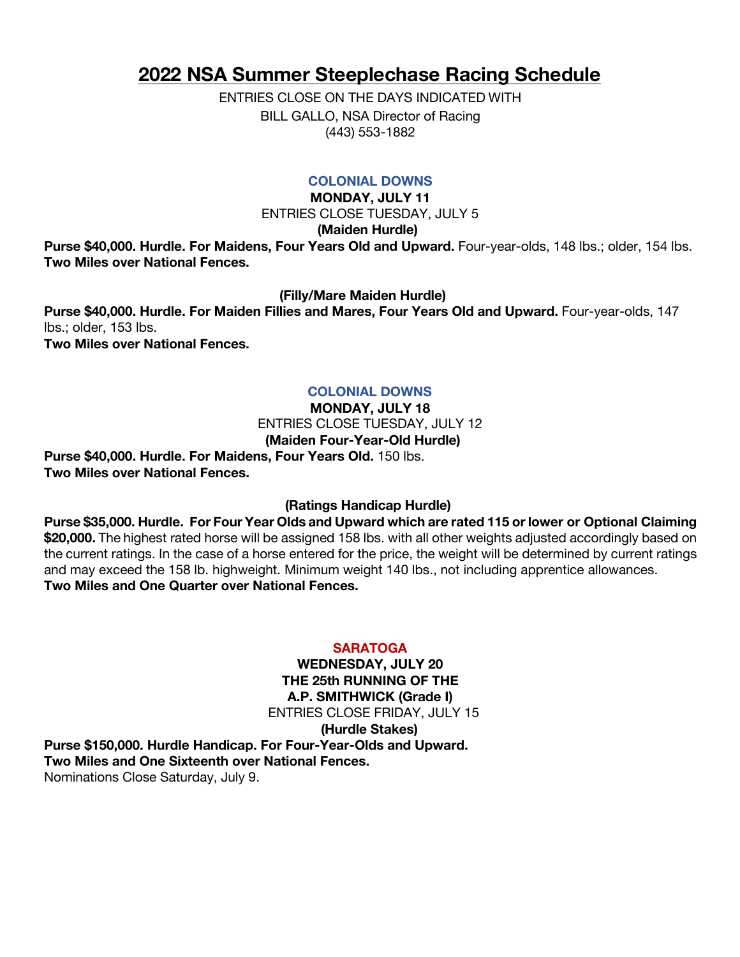# **2022 NSA Summer Steeplechase Racing Schedule**

ENTRIES CLOSE ON THE DAYS INDICATED WITH BILL GALLO, NSA Director of Racing (443) 553-1882

# **COLONIAL DOWNS**

**MONDAY, JULY 11** ENTRIES CLOSE TUESDAY, JULY 5

**(Maiden Hurdle)**

Purse \$40,000. Hurdle. For Maidens, Four Years Old and Upward. Four-year-olds, 148 lbs.; older, 154 lbs. **Two Miles over National Fences.**

**(Filly/Mare Maiden Hurdle)**

**Purse \$40,000. Hurdle. For Maiden Fillies and Mares, Four Years Old and Upward.** Four-year-olds, 147 lbs.; older, 153 lbs.

**Two Miles over National Fences.**

# **COLONIAL DOWNS**

**MONDAY, JULY 18**

ENTRIES CLOSE TUESDAY, JULY 12

 **(Maiden Four-Year-Old Hurdle)**

**Purse \$40,000. Hurdle. For Maidens, Four Years Old.** 150 lbs. **Two Miles over National Fences.**

# **(Ratings Handicap Hurdle)**

**Purse \$35,000. Hurdle. For Four Year Olds and Upward which are rated 115 orlower or Optional Claiming \$20,000.** The highest rated horse will be assigned 158 lbs. with all other weights adjusted accordingly based on the current ratings. In the case of a horse entered for the price, the weight will be determined by current ratings and may exceed the 158 lb. highweight. Minimum weight 140 lbs., not including apprentice allowances. **Two Miles and One Quarter over National Fences.**

# **SARATOGA**

**WEDNESDAY, JULY 20 THE 25th RUNNING OF THE A.P. SMITHWICK (Grade I)** ENTRIES CLOSE FRIDAY, JULY 15 **(Hurdle Stakes) Purse \$150,000. Hurdle Handicap. For Four-Year-Olds and Upward. Two Miles and One Sixteenth over National Fences.** Nominations Close Saturday, July 9.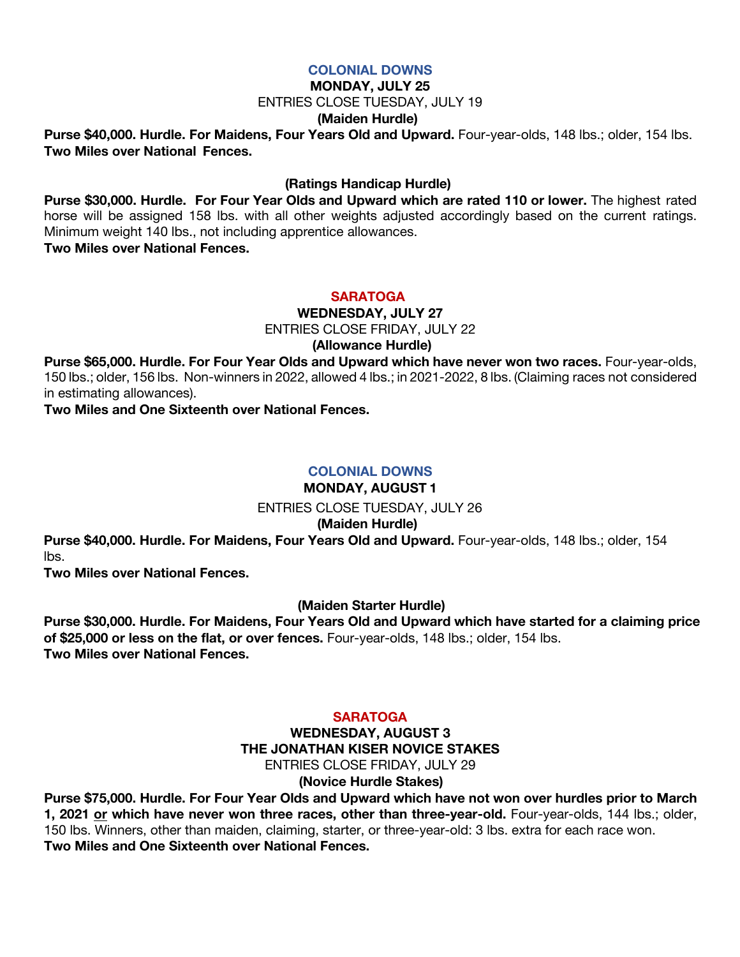### **COLONIAL DOWNS**

### **MONDAY, JULY 25**

ENTRIES CLOSE TUESDAY, JULY 19

### **(Maiden Hurdle)**

**Purse \$40,000. Hurdle. For Maidens, Four Years Old and Upward.** Four-year-olds, 148 lbs.; older, 154 lbs. **Two Miles over National Fences.**

### **(Ratings Handicap Hurdle)**

**Purse \$30,000. Hurdle. For Four Year Olds and Upward which are rated 110 or lower.** The highest rated horse will be assigned 158 lbs. with all other weights adjusted accordingly based on the current ratings. Minimum weight 140 lbs., not including apprentice allowances.

**Two Miles over National Fences.**

#### **SARATOGA**

**WEDNESDAY, JULY 27**

ENTRIES CLOSE FRIDAY, JULY 22

 **(Allowance Hurdle)**

**Purse \$65,000. Hurdle. For Four Year Olds and Upward which have never won two races.** Four-year-olds, 150 lbs.; older, 156 lbs. Non-winners in 2022, allowed 4 lbs.; in 2021-2022, 8 lbs. (Claiming races not considered in estimating allowances).

**Two Miles and One Sixteenth over National Fences.**

# **COLONIAL DOWNS**

# **MONDAY, AUGUST 1**

ENTRIES CLOSE TUESDAY, JULY 26

#### **(Maiden Hurdle)**

**Purse \$40,000. Hurdle. For Maidens, Four Years Old and Upward.** Four-year-olds, 148 lbs.; older, 154 lbs.

**Two Miles over National Fences.**

# **(Maiden Starter Hurdle)**

**Purse \$30,000. Hurdle. For Maidens, Four Years Old and Upward which have started for a claiming price of \$25,000 or less on the flat, or over fences.** Four-year-olds, 148 lbs.; older, 154 lbs. **Two Miles over National Fences.**

### **SARATOGA**

### **WEDNESDAY, AUGUST 3 THE JONATHAN KISER NOVICE STAKES** ENTRIES CLOSE FRIDAY, JULY 29  **(Novice Hurdle Stakes)**

**Purse \$75,000. Hurdle. For Four Year Olds and Upward which have not won over hurdles prior to March 1, 2021 or which have never won three races, other than three-year-old.** Four-year-olds, 144 lbs.; older, 150 lbs. Winners, other than maiden, claiming, starter, or three-year-old: 3 lbs. extra for each race won. **Two Miles and One Sixteenth over National Fences.**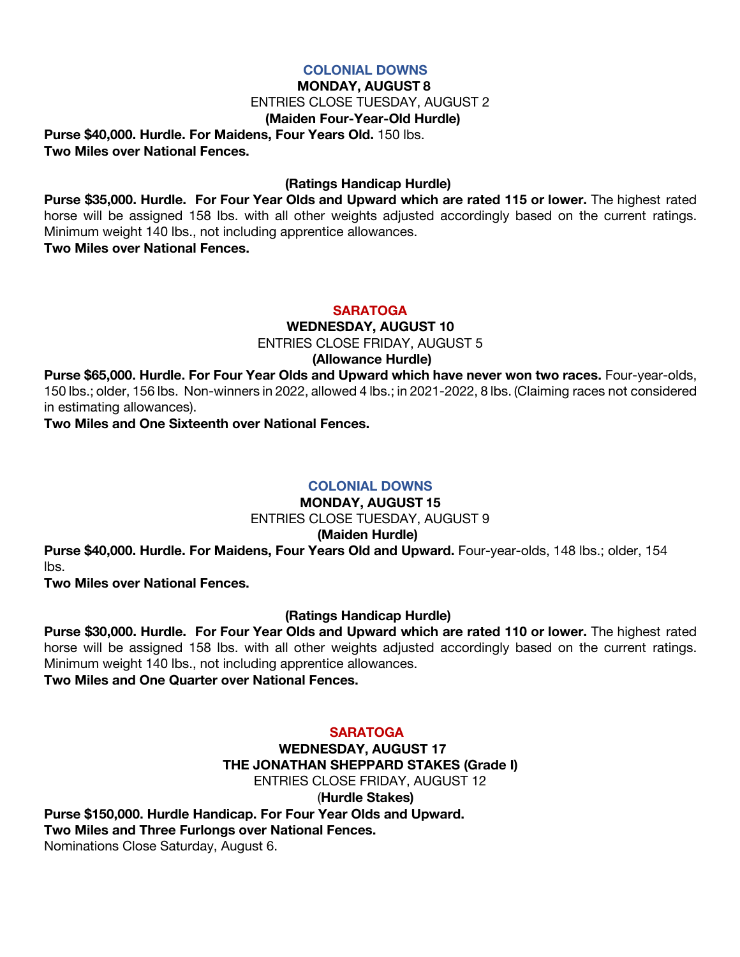### **COLONIAL DOWNS**

### **MONDAY, AUGUST 8**

ENTRIES CLOSE TUESDAY, AUGUST 2

### **(Maiden Four-Year-Old Hurdle)**

**Purse \$40,000. Hurdle. For Maidens, Four Years Old.** 150 lbs. **Two Miles over National Fences.**

# **(Ratings Handicap Hurdle)**

**Purse \$35,000. Hurdle. For Four Year Olds and Upward which are rated 115 or lower.** The highest rated horse will be assigned 158 lbs. with all other weights adjusted accordingly based on the current ratings. Minimum weight 140 lbs., not including apprentice allowances. **Two Miles over National Fences.**

### **SARATOGA**

**WEDNESDAY, AUGUST 10**

ENTRIES CLOSE FRIDAY, AUGUST 5

 **(Allowance Hurdle)**

**Purse \$65,000. Hurdle. For Four Year Olds and Upward which have never won two races.** Four-year-olds, 150 lbs.; older, 156 lbs. Non-winners in 2022, allowed 4 lbs.; in 2021-2022, 8 lbs. (Claiming races not considered in estimating allowances).

**Two Miles and One Sixteenth over National Fences.**

# **COLONIAL DOWNS**

**MONDAY, AUGUST 15** ENTRIES CLOSE TUESDAY, AUGUST 9

# **(Maiden Hurdle)**

**Purse \$40,000. Hurdle. For Maidens, Four Years Old and Upward.** Four-year-olds, 148 lbs.; older, 154 lbs.

**Two Miles over National Fences.**

# **(Ratings Handicap Hurdle)**

**Purse \$30,000. Hurdle. For Four Year Olds and Upward which are rated 110 or lower.** The highest rated horse will be assigned 158 lbs. with all other weights adjusted accordingly based on the current ratings. Minimum weight 140 lbs., not including apprentice allowances.

**Two Miles and One Quarter over National Fences.**

# **SARATOGA**

**WEDNESDAY, AUGUST 17 THE JONATHAN SHEPPARD STAKES (Grade I)** ENTRIES CLOSE FRIDAY, AUGUST 12 (**Hurdle Stakes) Purse \$150,000. Hurdle Handicap. For Four Year Olds and Upward. Two Miles and Three Furlongs over National Fences.** Nominations Close Saturday, August 6.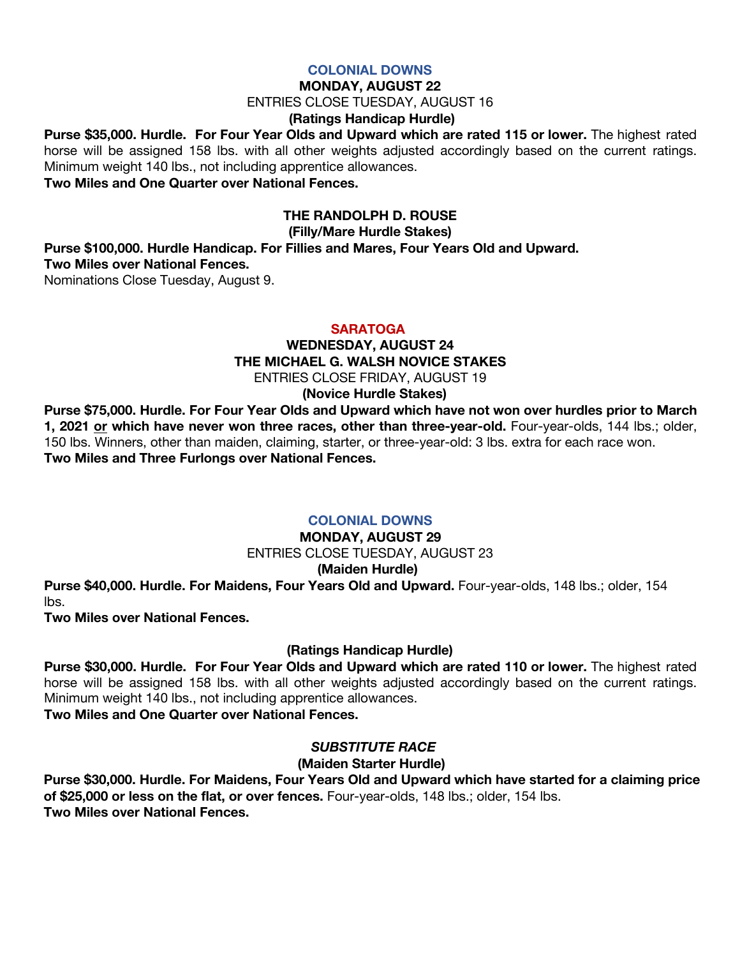#### **COLONIAL DOWNS**

### **MONDAY, AUGUST 22**

ENTRIES CLOSE TUESDAY, AUGUST 16

# **(Ratings Handicap Hurdle)**

**Purse \$35,000. Hurdle. For Four Year Olds and Upward which are rated 115 or lower.** The highest rated horse will be assigned 158 lbs. with all other weights adjusted accordingly based on the current ratings. Minimum weight 140 lbs., not including apprentice allowances.

**Two Miles and One Quarter over National Fences.**

# **THE RANDOLPH D. ROUSE**

 **(Filly/Mare Hurdle Stakes)**

**Purse \$100,000. Hurdle Handicap. For Fillies and Mares, Four Years Old and Upward. Two Miles over National Fences.**

Nominations Close Tuesday, August 9.

### **SARATOGA**

### **WEDNESDAY, AUGUST 24 THE MICHAEL G. WALSH NOVICE STAKES** ENTRIES CLOSE FRIDAY, AUGUST 19

**(Novice Hurdle Stakes)**

**Purse \$75,000. Hurdle. For Four Year Olds and Upward which have not won over hurdles prior to March 1, 2021 or which have never won three races, other than three-year-old.** Four-year-olds, 144 lbs.; older, 150 lbs. Winners, other than maiden, claiming, starter, or three-year-old: 3 lbs. extra for each race won. **Two Miles and Three Furlongs over National Fences.**

# **COLONIAL DOWNS**

# **MONDAY, AUGUST 29** ENTRIES CLOSE TUESDAY, AUGUST 23

#### **(Maiden Hurdle)**

**Purse \$40,000. Hurdle. For Maidens, Four Years Old and Upward.** Four-year-olds, 148 lbs.; older, 154 lbs.

**Two Miles over National Fences.**

# **(Ratings Handicap Hurdle)**

**Purse \$30,000. Hurdle. For Four Year Olds and Upward which are rated 110 or lower.** The highest rated horse will be assigned 158 lbs. with all other weights adjusted accordingly based on the current ratings. Minimum weight 140 lbs., not including apprentice allowances. **Two Miles and One Quarter over National Fences.**

# *SUBSTITUTE RACE*

# **(Maiden Starter Hurdle)**

**Purse \$30,000. Hurdle. For Maidens, Four Years Old and Upward which have started for a claiming price of \$25,000 or less on the flat, or over fences.** Four-year-olds, 148 lbs.; older, 154 lbs. **Two Miles over National Fences.**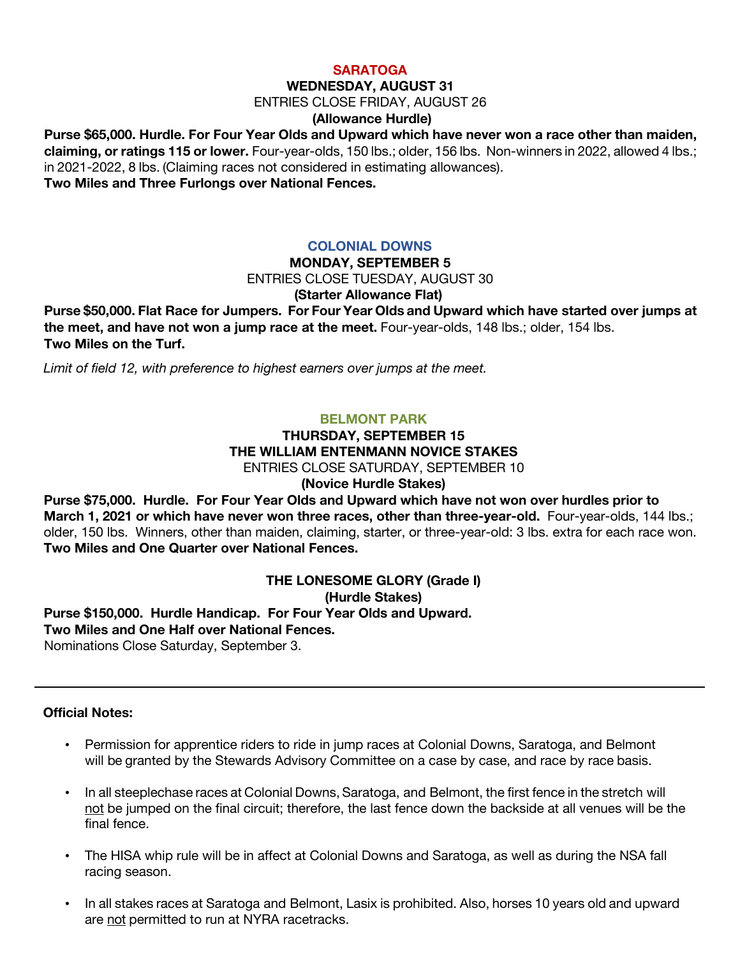#### **SARATOGA**

#### **WEDNESDAY, AUGUST 31**

ENTRIES CLOSE FRIDAY, AUGUST 26

### **(Allowance Hurdle)**

**Purse \$65,000. Hurdle. For Four Year Olds and Upward which have never won a race other than maiden, claiming, or ratings 115 or lower.** Four-year-olds, 150 lbs.; older, 156 lbs. Non-winners in 2022, allowed 4 lbs.; in 2021-2022, 8 lbs. (Claiming races not considered in estimating allowances). **Two Miles and Three Furlongs over National Fences.**

### **COLONIAL DOWNS**

#### **MONDAY, SEPTEMBER 5**

ENTRIES CLOSE TUESDAY, AUGUST 30

#### **(Starter Allowance Flat)**

**Purse \$50,000. Flat Race for Jumpers. For Four Year Olds and Upward which have started over jumps at the meet, and have not won a jump race at the meet.** Four-year-olds, 148 lbs.; older, 154 lbs. **Two Miles on the Turf.**

 *Limit of field 12, with preference to highest earners over jumps at the meet.*

### **BELMONT PARK**

# **THURSDAY, SEPTEMBER 15 THE WILLIAM ENTENMANN NOVICE STAKES** ENTRIES CLOSE SATURDAY, SEPTEMBER 10

**(Novice Hurdle Stakes)**

**Purse \$75,000. Hurdle. For Four Year Olds and Upward which have not won over hurdles prior to March 1, 2021 or which have never won three races, other than three-year-old.** Four-year-olds, 144 lbs.; older, 150 lbs. Winners, other than maiden, claiming, starter, or three-year-old: 3 lbs. extra for each race won. **Two Miles and One Quarter over National Fences.** 

#### **THE LONESOME GLORY (Grade I) (Hurdle Stakes)**

**Purse \$150,000. Hurdle Handicap. For Four Year Olds and Upward. Two Miles and One Half over National Fences.** Nominations Close Saturday, September 3.

#### **Official Notes:**

- Permission for apprentice riders to ride in jump races at Colonial Downs, Saratoga, and Belmont will be granted by the Stewards Advisory Committee on a case by case, and race by race basis.
- In all steeplechase races at Colonial Downs, Saratoga, and Belmont, the first fence in the stretch will not be jumped on the final circuit; therefore, the last fence down the backside at all venues will be the final fence.
- The HISA whip rule will be in affect at Colonial Downs and Saratoga, as well as during the NSA fall racing season.
- In all stakes races at Saratoga and Belmont, Lasix is prohibited. Also, horses 10 years old and upward are not permitted to run at NYRA racetracks.